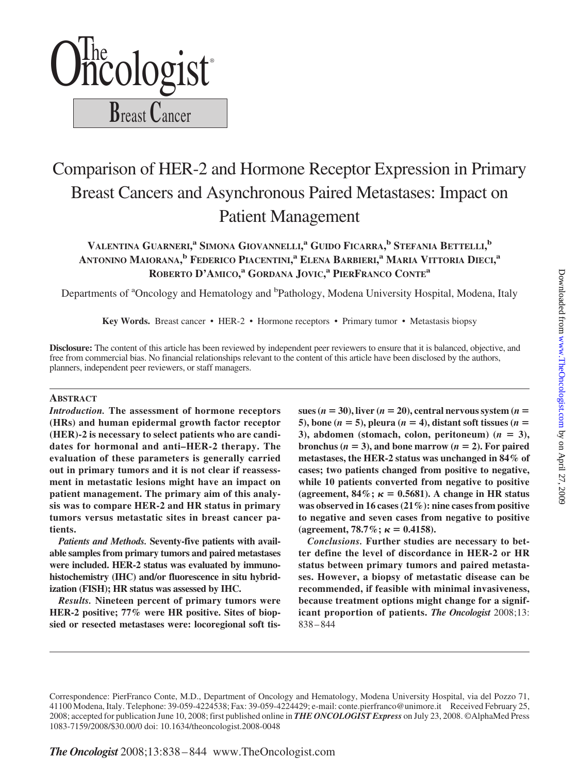Downloaded from www.TheOncologist.com by on April 27, 2009 by on April 27, 2009 [www.TheOncologist.com](http://theoncologist.alphamedpress.org) Downloaded from



# Comparison of HER-2 and Hormone Receptor Expression in Primary Breast Cancers and Asynchronous Paired Metastases: Impact on Patient Management

**VALENTINA GUARNERI, <sup>a</sup> SIMONA GIOVANNELLI, <sup>a</sup> GUIDO FICARRA, <sup>b</sup> STEFANIA BETTELLI, b ANTONINO MAIORANA, <sup>b</sup> FEDERICO PIACENTINI, <sup>a</sup> ELENA BARBIERI, <sup>a</sup> MARIA VITTORIA DIECI, a ROBERTO D'AMICO, <sup>a</sup> GORDANA JOVIC, <sup>a</sup> PIERFRANCO CONTEa**

Departments of <sup>a</sup>Oncology and Hematology and <sup>b</sup>Pathology, Modena University Hospital, Modena, Italy

**Key Words.** Breast cancer • HER-2 • Hormone receptors • Primary tumor • Metastasis biopsy

**Disclosure:** The content of this article has been reviewed by independent peer reviewers to ensure that it is balanced, objective, and free from commercial bias. No financial relationships relevant to the content of this article have been disclosed by the authors, planners, independent peer reviewers, or staff managers.

### **ABSTRACT**

*Introduction.* **The assessment of hormone receptors (HRs) and human epidermal growth factor receptor (HER)-2 is necessary to select patients who are candidates for hormonal and anti–HER-2 therapy. The evaluation of these parameters is generally carried out in primary tumors and it is not clear if reassessment in metastatic lesions might have an impact on patient management. The primary aim of this analysis was to compare HER-2 and HR status in primary tumors versus metastatic sites in breast cancer patients.**

*Patients and Methods.* **Seventy-five patients with available samples from primary tumors and paired metastases were included. HER-2 status was evaluated by immunohistochemistry (IHC) and/or fluorescence in situ hybridization (FISH); HR status was assessed by IHC.**

*Results.* **Nineteen percent of primary tumors were HER-2 positive; 77% were HR positive. Sites of biopsied or resected metastases were: locoregional soft tis-** sues  $(n = 30)$ , liver  $(n = 20)$ , central nervous system  $(n = 10)$ **5**), bone ( $n = 5$ ), pleura ( $n = 4$ ), distant soft tissues ( $n = 5$ ) 3), abdomen (stomach, colon, peritoneum)  $(n = 3)$ , **bronchus (** $n = 3$ **), and bone marrow (** $n = 2$ **). For paired metastases, the HER-2 status was unchanged in 84% of cases; two patients changed from positive to negative, while 10 patients converted from negative to positive** (agreement,  $84\%$ ;  $\kappa = 0.5681$ ). A change in HR status **was observed in 16 cases (21%): nine cases from positive to negative and seven cases from negative to positive**  $($ agreement, 78.7%;  $\kappa = 0.4158$ ).

*Conclusions.* **Further studies are necessary to better define the level of discordance in HER-2 or HR status between primary tumors and paired metastases. However, a biopsy of metastatic disease can be recommended, if feasible with minimal invasiveness, because treatment options might change for a significant proportion of patients.** *The Oncologist* 2008;13: 838 – 844

Correspondence: PierFranco Conte, M.D., Department of Oncology and Hematology, Modena University Hospital, via del Pozzo 71, 41100 Modena, Italy. Telephone: 39-059-4224538; Fax: 39-059-4224429; e-mail: conte.pierfranco@unimore.it Received February 25, 2008; accepted for publication June 10, 2008; first published online in *THE ONCOLOGIST Express* on July 23, 2008. ©AlphaMed Press 1083-7159/2008/\$30.00/0 doi: 10.1634/theoncologist.2008-0048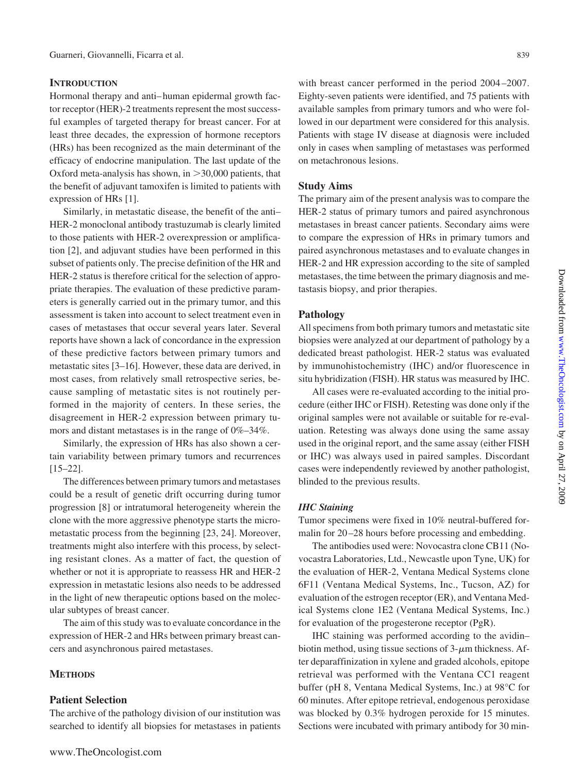#### **INTRODUCTION**

Hormonal therapy and anti– human epidermal growth factor receptor (HER)-2 treatments represent the most successful examples of targeted therapy for breast cancer. For at least three decades, the expression of hormone receptors (HRs) has been recognized as the main determinant of the efficacy of endocrine manipulation. The last update of the Oxford meta-analysis has shown, in  $>$ 30,000 patients, that the benefit of adjuvant tamoxifen is limited to patients with expression of HRs [1].

Similarly, in metastatic disease, the benefit of the anti– HER-2 monoclonal antibody trastuzumab is clearly limited to those patients with HER-2 overexpression or amplification [2], and adjuvant studies have been performed in this subset of patients only. The precise definition of the HR and HER-2 status is therefore critical for the selection of appropriate therapies. The evaluation of these predictive parameters is generally carried out in the primary tumor, and this assessment is taken into account to select treatment even in cases of metastases that occur several years later. Several reports have shown a lack of concordance in the expression of these predictive factors between primary tumors and metastatic sites [3–16]. However, these data are derived, in most cases, from relatively small retrospective series, because sampling of metastatic sites is not routinely performed in the majority of centers. In these series, the disagreement in HER-2 expression between primary tumors and distant metastases is in the range of 0%–34%.

Similarly, the expression of HRs has also shown a certain variability between primary tumors and recurrences [15–22].

The differences between primary tumors and metastases could be a result of genetic drift occurring during tumor progression [8] or intratumoral heterogeneity wherein the clone with the more aggressive phenotype starts the micrometastatic process from the beginning [23, 24]. Moreover, treatments might also interfere with this process, by selecting resistant clones. As a matter of fact, the question of whether or not it is appropriate to reassess HR and HER-2 expression in metastatic lesions also needs to be addressed in the light of new therapeutic options based on the molecular subtypes of breast cancer.

The aim of this study was to evaluate concordance in the expression of HER-2 and HRs between primary breast cancers and asynchronous paired metastases.

# **METHODS**

## **Patient Selection**

The archive of the pathology division of our institution was searched to identify all biopsies for metastases in patients with breast cancer performed in the period 2004 –2007. Eighty-seven patients were identified, and 75 patients with available samples from primary tumors and who were followed in our department were considered for this analysis. Patients with stage IV disease at diagnosis were included only in cases when sampling of metastases was performed on metachronous lesions.

## **Study Aims**

The primary aim of the present analysis was to compare the HER-2 status of primary tumors and paired asynchronous metastases in breast cancer patients. Secondary aims were to compare the expression of HRs in primary tumors and paired asynchronous metastases and to evaluate changes in HER-2 and HR expression according to the site of sampled metastases, the time between the primary diagnosis and metastasis biopsy, and prior therapies.

#### **Pathology**

All specimens from both primary tumors and metastatic site biopsies were analyzed at our department of pathology by a dedicated breast pathologist. HER-2 status was evaluated by immunohistochemistry (IHC) and/or fluorescence in situ hybridization (FISH). HR status was measured by IHC.

All cases were re-evaluated according to the initial procedure (either IHC or FISH). Retesting was done only if the original samples were not available or suitable for re-evaluation. Retesting was always done using the same assay used in the original report, and the same assay (either FISH or IHC) was always used in paired samples. Discordant cases were independently reviewed by another pathologist, blinded to the previous results.

#### *IHC Staining*

Tumor specimens were fixed in 10% neutral-buffered formalin for  $20-28$  hours before processing and embedding.

The antibodies used were: Novocastra clone CB11 (Novocastra Laboratories, Ltd., Newcastle upon Tyne, UK) for the evaluation of HER-2, Ventana Medical Systems clone 6F11 (Ventana Medical Systems, Inc., Tucson, AZ) for evaluation of the estrogen receptor (ER), and Ventana Medical Systems clone 1E2 (Ventana Medical Systems, Inc.) for evaluation of the progesterone receptor (PgR).

IHC staining was performed according to the avidin– biotin method, using tissue sections of  $3-\mu m$  thickness. After deparaffinization in xylene and graded alcohols, epitope retrieval was performed with the Ventana CC1 reagent buffer (pH 8, Ventana Medical Systems, Inc.) at 98°C for 60 minutes. After epitope retrieval, endogenous peroxidase was blocked by 0.3% hydrogen peroxide for 15 minutes. Sections were incubated with primary antibody for 30 min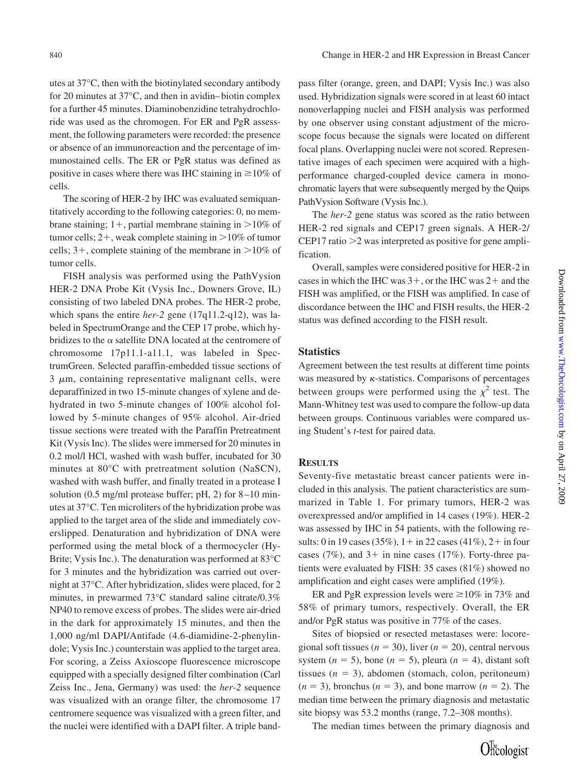utes at 37°C, then with the biotinylated secondary antibody for 20 minutes at 37°C, and then in avidin– biotin complex for a further 45 minutes. Diaminobenzidine tetrahydrochloride was used as the chromogen. For ER and PgR assessment, the following parameters were recorded: the presence or absence of an immunoreaction and the percentage of immunostained cells. The ER or PgR status was defined as positive in cases where there was IHC staining in  $\geq 10\%$  of cells.

The scoring of HER-2 by IHC was evaluated semiquantitatively according to the following categories: 0, no membrane staining;  $1+$ , partial membrane staining in  $>$ 10% of tumor cells;  $2+$ , weak complete staining in  $>10\%$  of tumor cells;  $3+$ , complete staining of the membrane in  $>10\%$  of tumor cells.

FISH analysis was performed using the PathVysion HER-2 DNA Probe Kit (Vysis Inc., Downers Grove, IL) consisting of two labeled DNA probes. The HER-2 probe, which spans the entire *her-2* gene (17q11.2-q12), was labeled in SpectrumOrange and the CEP 17 probe, which hybridizes to the  $\alpha$  satellite DNA located at the centromere of chromosome 17p11.1-a11.1, was labeled in SpectrumGreen. Selected paraffin-embedded tissue sections of  $3 \mu m$ , containing representative malignant cells, were deparaffinized in two 15-minute changes of xylene and dehydrated in two 5-minute changes of 100% alcohol followed by 5-minute changes of 95% alcohol. Air-dried tissue sections were treated with the Paraffin Pretreatment Kit (Vysis Inc). The slides were immersed for 20 minutes in 0.2 mol/l HCl, washed with wash buffer, incubated for 30 minutes at 80°C with pretreatment solution (NaSCN), washed with wash buffer, and finally treated in a protease I solution (0.5 mg/ml protease buffer; pH, 2) for  $8-10$  minutes at 37°C. Ten microliters of the hybridization probe was applied to the target area of the slide and immediately coverslipped. Denaturation and hybridization of DNA were performed using the metal block of a thermocycler (Hy-Brite; Vysis Inc.). The denaturation was performed at 83°C for 3 minutes and the hybridization was carried out overnight at 37°C. After hybridization, slides were placed, for 2 minutes, in prewarmed 73°C standard saline citrate/0.3% NP40 to remove excess of probes. The slides were air-dried in the dark for approximately 15 minutes, and then the 1,000 ng/ml DAPI/Antifade (4.6-diamidine-2-phenylindole; Vysis Inc.) counterstain was applied to the target area. For scoring, a Zeiss Axioscope fluorescence microscope equipped with a specially designed filter combination (Carl Zeiss Inc., Jena, Germany) was used: the *her-2* sequence was visualized with an orange filter, the chromosome 17 centromere sequence was visualized with a green filter, and the nuclei were identified with a DAPI filter. A triple bandpass filter (orange, green, and DAPI; Vysis Inc.) was also used. Hybridization signals were scored in at least 60 intact nonoverlapping nuclei and FISH analysis was performed by one observer using constant adjustment of the microscope focus because the signals were located on different focal plans. Overlapping nuclei were not scored. Representative images of each specimen were acquired with a highperformance charged-coupled device camera in monochromatic layers that were subsequently merged by the Quips PathVysion Software (Vysis Inc.).

The *her-2* gene status was scored as the ratio between HER-2 red signals and CEP17 green signals. A HER-2/ CEP17 ratio  $>$ 2 was interpreted as positive for gene amplification.

Overall, samples were considered positive for HER-2 in cases in which the IHC was  $3+$ , or the IHC was  $2+$  and the FISH was amplified, or the FISH was amplified. In case of discordance between the IHC and FISH results, the HER-2 status was defined according to the FISH result.

## **Statistics**

Agreement between the test results at different time points was measured by  $\kappa$ -statistics. Comparisons of percentages between groups were performed using the  $\chi^2$  test. The Mann-Whitney test was used to compare the follow-up data between groups. Continuous variables were compared using Student's *t*-test for paired data.

## **RESULTS**

Seventy-five metastatic breast cancer patients were included in this analysis. The patient characteristics are summarized in Table 1. For primary tumors, HER-2 was overexpressed and/or amplified in 14 cases (19%). HER-2 was assessed by IHC in 54 patients, with the following results: 0 in 19 cases (35%),  $1 +$  in 22 cases (41%),  $2 +$  in four cases (7%), and  $3+$  in nine cases (17%). Forty-three patients were evaluated by FISH: 35 cases (81%) showed no amplification and eight cases were amplified (19%).

ER and PgR expression levels were  $\geq 10\%$  in 73% and 58% of primary tumors, respectively. Overall, the ER and/or PgR status was positive in 77% of the cases.

Sites of biopsied or resected metastases were: locoregional soft tissues ( $n = 30$ ), liver ( $n = 20$ ), central nervous system  $(n = 5)$ , bone  $(n = 5)$ , pleura  $(n = 4)$ , distant soft tissues  $(n = 3)$ , abdomen (stomach, colon, peritoneum)  $(n = 3)$ , bronchus  $(n = 3)$ , and bone marrow  $(n = 2)$ . The median time between the primary diagnosis and metastatic site biopsy was 53.2 months (range, 7.2–308 months).

The median times between the primary diagnosis and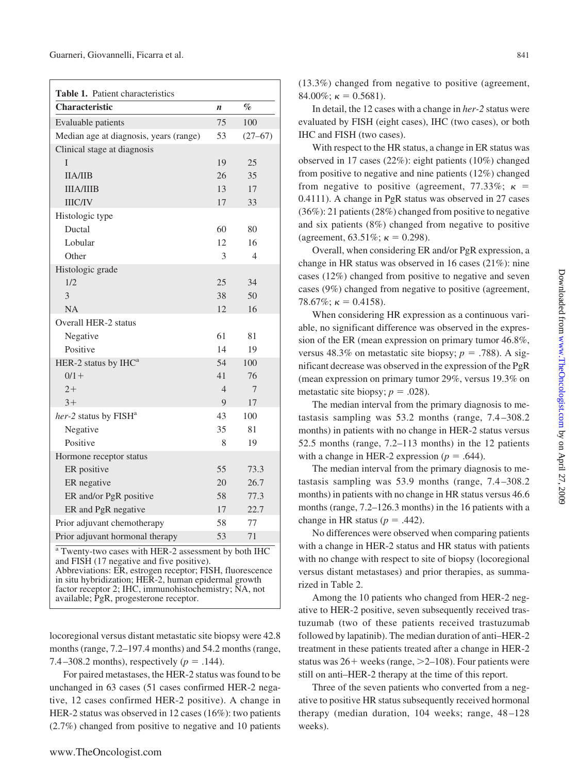| <b>Table 1.</b> Patient characteristics                                                                                                                                  |                |             |  |  |  |
|--------------------------------------------------------------------------------------------------------------------------------------------------------------------------|----------------|-------------|--|--|--|
| <b>Characteristic</b>                                                                                                                                                    | n              | $\%$        |  |  |  |
| Evaluable patients                                                                                                                                                       | 75             | 100         |  |  |  |
| Median age at diagnosis, years (range)                                                                                                                                   | 53             | $(27 - 67)$ |  |  |  |
| Clinical stage at diagnosis                                                                                                                                              |                |             |  |  |  |
| T                                                                                                                                                                        | 19             | 25          |  |  |  |
| <b>IIA/IIB</b>                                                                                                                                                           | 26             | 35          |  |  |  |
| <b>IIIA/IIIB</b>                                                                                                                                                         | 13             | 17          |  |  |  |
| <b>IIIC/IV</b>                                                                                                                                                           | 17             | 33          |  |  |  |
| Histologic type                                                                                                                                                          |                |             |  |  |  |
| Ductal                                                                                                                                                                   | 60             | 80          |  |  |  |
| Lobular                                                                                                                                                                  | 12             | 16          |  |  |  |
| Other                                                                                                                                                                    | 3              | 4           |  |  |  |
| Histologic grade                                                                                                                                                         |                |             |  |  |  |
| 1/2                                                                                                                                                                      | 25             | 34          |  |  |  |
| 3                                                                                                                                                                        | 38             | 50          |  |  |  |
| <b>NA</b>                                                                                                                                                                | 12             | 16          |  |  |  |
| <b>Overall HER-2 status</b>                                                                                                                                              |                |             |  |  |  |
| Negative                                                                                                                                                                 | 61             | 81          |  |  |  |
| Positive                                                                                                                                                                 | 14             | 19          |  |  |  |
| HER-2 status by IHC <sup>a</sup>                                                                                                                                         | 54             | 100         |  |  |  |
| $0/1 +$                                                                                                                                                                  | 41             | 76          |  |  |  |
| $2+$                                                                                                                                                                     | $\overline{4}$ | 7           |  |  |  |
| $3+$                                                                                                                                                                     | 9              | 17          |  |  |  |
| her-2 status by FISH <sup>a</sup>                                                                                                                                        | 43             | 100         |  |  |  |
| Negative                                                                                                                                                                 | 35             | 81          |  |  |  |
| Positive                                                                                                                                                                 | 8              | 19          |  |  |  |
| Hormone receptor status                                                                                                                                                  |                |             |  |  |  |
| ER positive                                                                                                                                                              | 55             | 73.3        |  |  |  |
| ER negative                                                                                                                                                              | 20             | 26.7        |  |  |  |
| ER and/or PgR positive                                                                                                                                                   | 58             | 77.3        |  |  |  |
| ER and PgR negative                                                                                                                                                      | 17             | 22.7        |  |  |  |
| Prior adjuvant chemotherapy                                                                                                                                              | 58             | 77          |  |  |  |
| Prior adjuvant hormonal therapy                                                                                                                                          | 53             | 71          |  |  |  |
| <sup>a</sup> Twenty-two cases with HER-2 assessment by both IHC<br>and FISH (17 negative and five positive).<br>Abbreviations: ER, estrogen receptor; FISH, fluorescence |                |             |  |  |  |

in situ hybridization; HER-2, human epidermal growth factor receptor 2; IHC, immunohistochemistry; NA, not available; PgR, progesterone receptor.

locoregional versus distant metastatic site biopsy were 42.8 months (range, 7.2–197.4 months) and 54.2 months (range, 7.4–308.2 months), respectively ( $p = .144$ ).

For paired metastases, the HER-2 status was found to be unchanged in 63 cases (51 cases confirmed HER-2 negative, 12 cases confirmed HER-2 positive). A change in HER-2 status was observed in 12 cases (16%): two patients (2.7%) changed from positive to negative and 10 patients (13.3%) changed from negative to positive (agreement, 84.00%;  $\kappa = 0.5681$ ).

In detail, the 12 cases with a change in *her-2* status were evaluated by FISH (eight cases), IHC (two cases), or both IHC and FISH (two cases).

With respect to the HR status, a change in ER status was observed in 17 cases (22%): eight patients (10%) changed from positive to negative and nine patients (12%) changed from negative to positive (agreement, 77.33%;  $\kappa$  = 0.4111). A change in PgR status was observed in 27 cases (36%): 21 patients (28%) changed from positive to negative and six patients (8%) changed from negative to positive (agreement, 63.51%;  $\kappa = 0.298$ ).

Overall, when considering ER and/or PgR expression, a change in HR status was observed in 16 cases (21%): nine cases (12%) changed from positive to negative and seven cases (9%) changed from negative to positive (agreement, 78.67%;  $\kappa = 0.4158$ ).

When considering HR expression as a continuous variable, no significant difference was observed in the expression of the ER (mean expression on primary tumor 46.8%, versus 48.3% on metastatic site biopsy;  $p = .788$ ). A significant decrease was observed in the expression of the PgR (mean expression on primary tumor 29%, versus 19.3% on metastatic site biopsy;  $p = .028$ ).

The median interval from the primary diagnosis to metastasis sampling was 53.2 months (range, 7.4 –308.2 months) in patients with no change in HER-2 status versus 52.5 months (range, 7.2–113 months) in the 12 patients with a change in HER-2 expression ( $p = .644$ ).

The median interval from the primary diagnosis to metastasis sampling was 53.9 months (range, 7.4 –308.2 months) in patients with no change in HR status versus 46.6 months (range, 7.2–126.3 months) in the 16 patients with a change in HR status  $(p = .442)$ .

No differences were observed when comparing patients with a change in HER-2 status and HR status with patients with no change with respect to site of biopsy (locoregional versus distant metastases) and prior therapies, as summarized in Table 2.

Among the 10 patients who changed from HER-2 negative to HER-2 positive, seven subsequently received trastuzumab (two of these patients received trastuzumab followed by lapatinib). The median duration of anti–HER-2 treatment in these patients treated after a change in HER-2 status was  $26+$  weeks (range,  $>2-108$ ). Four patients were still on anti–HER-2 therapy at the time of this report.

Three of the seven patients who converted from a negative to positive HR status subsequently received hormonal therapy (median duration, 104 weeks; range, 48 –128 weeks).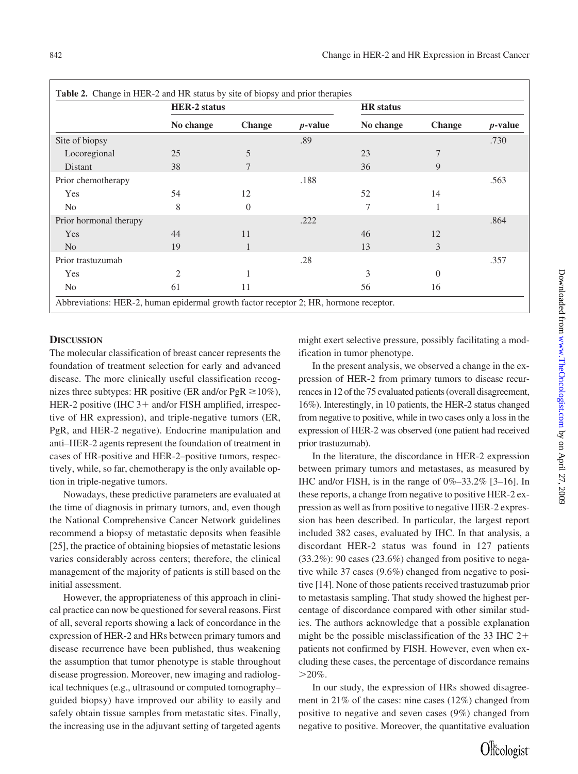|                        | <b>HER-2</b> status |               |                 | <b>HR</b> status |          |                 |
|------------------------|---------------------|---------------|-----------------|------------------|----------|-----------------|
|                        | No change           | <b>Change</b> | <i>p</i> -value | No change        | Change   | <i>p</i> -value |
| Site of biopsy         |                     |               | .89             |                  |          | .730            |
| Locoregional           | 25                  | 5             |                 | 23               | 7        |                 |
| Distant                | 38                  |               |                 | 36               | 9        |                 |
| Prior chemotherapy     |                     |               | .188            |                  |          | .563            |
| Yes                    | 54                  | 12            |                 | 52               | 14       |                 |
| N <sub>o</sub>         | 8                   | $\Omega$      |                 | 7                |          |                 |
| Prior hormonal therapy |                     |               | .222            |                  |          | .864            |
| Yes                    | 44                  | 11            |                 | 46               | 12       |                 |
| N <sub>0</sub>         | 19                  |               |                 | 13               | 3        |                 |
| Prior trastuzumab      |                     |               | .28             |                  |          | .357            |
| Yes                    | 2                   | 1             |                 | 3                | $\Omega$ |                 |
| N <sub>o</sub>         | 61                  | 11            |                 | 56               | 16       |                 |

# **DISCUSSION**

The molecular classification of breast cancer represents the foundation of treatment selection for early and advanced disease. The more clinically useful classification recognizes three subtypes: HR positive (ER and/or PgR  $\geq$  10%), HER-2 positive (IHC 3+ and/or FISH amplified, irrespective of HR expression), and triple-negative tumors (ER, PgR, and HER-2 negative). Endocrine manipulation and anti–HER-2 agents represent the foundation of treatment in cases of HR-positive and HER-2–positive tumors, respectively, while, so far, chemotherapy is the only available option in triple-negative tumors.

Nowadays, these predictive parameters are evaluated at the time of diagnosis in primary tumors, and, even though the National Comprehensive Cancer Network guidelines recommend a biopsy of metastatic deposits when feasible [25], the practice of obtaining biopsies of metastatic lesions varies considerably across centers; therefore, the clinical management of the majority of patients is still based on the initial assessment.

However, the appropriateness of this approach in clinical practice can now be questioned for several reasons. First of all, several reports showing a lack of concordance in the expression of HER-2 and HRs between primary tumors and disease recurrence have been published, thus weakening the assumption that tumor phenotype is stable throughout disease progression. Moreover, new imaging and radiological techniques (e.g., ultrasound or computed tomography– guided biopsy) have improved our ability to easily and safely obtain tissue samples from metastatic sites. Finally, the increasing use in the adjuvant setting of targeted agents

might exert selective pressure, possibly facilitating a modification in tumor phenotype.

In the present analysis, we observed a change in the expression of HER-2 from primary tumors to disease recurrences in 12 of the 75 evaluated patients (overall disagreement, 16%). Interestingly, in 10 patients, the HER-2 status changed from negative to positive, while in two cases only a loss in the expression of HER-2 was observed (one patient had received prior trastuzumab).

In the literature, the discordance in HER-2 expression between primary tumors and metastases, as measured by IHC and/or FISH, is in the range of  $0\% - 33.2\%$  [3-16]. In these reports, a change from negative to positive HER-2 expression as well as from positive to negative HER-2 expression has been described. In particular, the largest report included 382 cases, evaluated by IHC. In that analysis, a discordant HER-2 status was found in 127 patients  $(33.2\%)$ : 90 cases  $(23.6\%)$  changed from positive to negative while 37 cases (9.6%) changed from negative to positive [14]. None of those patients received trastuzumab prior to metastasis sampling. That study showed the highest percentage of discordance compared with other similar studies. The authors acknowledge that a possible explanation might be the possible misclassification of the 33 IHC 2 patients not confirmed by FISH. However, even when excluding these cases, the percentage of discordance remains  $>20\%$ .

In our study, the expression of HRs showed disagreement in 21% of the cases: nine cases (12%) changed from positive to negative and seven cases (9%) changed from negative to positive. Moreover, the quantitative evaluation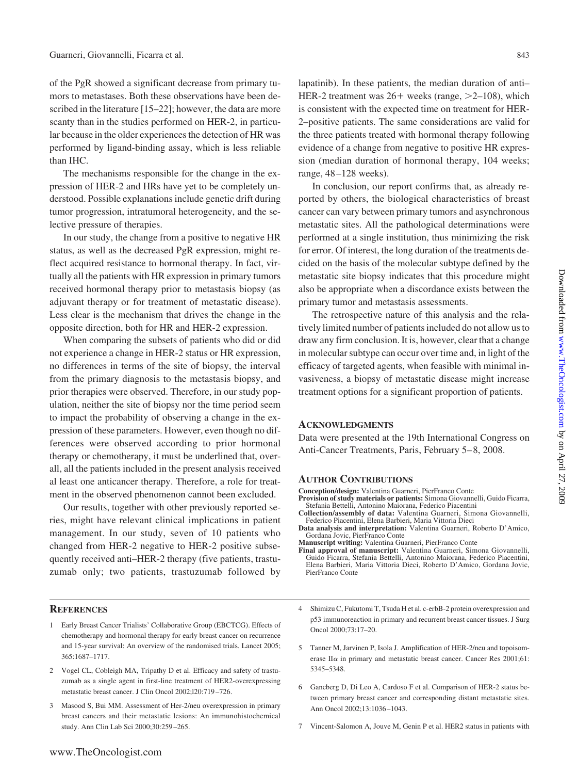of the PgR showed a significant decrease from primary tumors to metastases. Both these observations have been described in the literature [15–22]; however, the data are more scanty than in the studies performed on HER-2, in particular because in the older experiences the detection of HR was performed by ligand-binding assay, which is less reliable than IHC.

The mechanisms responsible for the change in the expression of HER-2 and HRs have yet to be completely understood. Possible explanations include genetic drift during tumor progression, intratumoral heterogeneity, and the selective pressure of therapies.

In our study, the change from a positive to negative HR status, as well as the decreased PgR expression, might reflect acquired resistance to hormonal therapy. In fact, virtually all the patients with HR expression in primary tumors received hormonal therapy prior to metastasis biopsy (as adjuvant therapy or for treatment of metastatic disease). Less clear is the mechanism that drives the change in the opposite direction, both for HR and HER-2 expression.

When comparing the subsets of patients who did or did not experience a change in HER-2 status or HR expression, no differences in terms of the site of biopsy, the interval from the primary diagnosis to the metastasis biopsy, and prior therapies were observed. Therefore, in our study population, neither the site of biopsy nor the time period seem to impact the probability of observing a change in the expression of these parameters. However, even though no differences were observed according to prior hormonal therapy or chemotherapy, it must be underlined that, overall, all the patients included in the present analysis received al least one anticancer therapy. Therefore, a role for treatment in the observed phenomenon cannot been excluded.

Our results, together with other previously reported series, might have relevant clinical implications in patient management. In our study, seven of 10 patients who changed from HER-2 negative to HER-2 positive subsequently received anti–HER-2 therapy (five patients, trastuzumab only; two patients, trastuzumab followed by

lapatinib). In these patients, the median duration of anti– HER-2 treatment was  $26+$  weeks (range,  $>2-108$ ), which is consistent with the expected time on treatment for HER-2–positive patients. The same considerations are valid for the three patients treated with hormonal therapy following evidence of a change from negative to positive HR expression (median duration of hormonal therapy, 104 weeks; range, 48 –128 weeks).

In conclusion, our report confirms that, as already reported by others, the biological characteristics of breast cancer can vary between primary tumors and asynchronous metastatic sites. All the pathological determinations were performed at a single institution, thus minimizing the risk for error. Of interest, the long duration of the treatments decided on the basis of the molecular subtype defined by the metastatic site biopsy indicates that this procedure might also be appropriate when a discordance exists between the primary tumor and metastasis assessments.

The retrospective nature of this analysis and the relatively limited number of patients included do not allow us to draw any firm conclusion. It is, however, clear that a change in molecular subtype can occur over time and, in light of the efficacy of targeted agents, when feasible with minimal invasiveness, a biopsy of metastatic disease might increase treatment options for a significant proportion of patients.

## **ACKNOWLEDGMENTS**

Data were presented at the 19th International Congress on Anti-Cancer Treatments, Paris, February 5– 8, 2008.

#### **AUTHOR CONTRIBUTIONS**

**Conception/design:** Valentina Guarneri, PierFranco Conte

- **Provision of study materials or patients:** Simona Giovannelli, Guido Ficarra, Stefania Bettelli, Antonino Maiorana, Federico Piacentini
- **Collection/assembly of data:** Valentina Guarneri, Simona Giovannelli, Federico Piacentini, Elena Barbieri, Maria Vittoria Dieci
- **Data analysis and interpretation:** Valentina Guarneri, Roberto D'Amico, Gordana Jovic, PierFranco Conte

**Manuscript writing:** Valentina Guarneri, PierFranco Conte

**Final approval of manuscript:** Valentina Guarneri, Simona Giovannelli, Guido Ficarra, Stefania Bettelli, Antonino Maiorana, Federico Piacentini, Elena Barbieri, Maria Vittoria Dieci, Roberto D'Amico, Gordana Jovic, PierFranco Conte

- 1 Early Breast Cancer Trialists' Collaborative Group (EBCTCG). Effects of chemotherapy and hormonal therapy for early breast cancer on recurrence and 15-year survival: An overview of the randomised trials. Lancet 2005; 365:1687–1717.
- 2 Vogel CL, Cobleigh MA, Tripathy D et al. Efficacy and safety of trastuzumab as a single agent in first-line treatment of HER2-overexpressing metastatic breast cancer. J Clin Oncol 2002;l20:719 –726.
- 3 Masood S, Bui MM. Assessment of Her-2/neu overexpression in primary breast cancers and their metastatic lesions: An immunohistochemical study. Ann Clin Lab Sci 2000;30:259 –265.
- 4 Shimizu C, Fukutomi T, Tsuda H et al. c-erbB-2 protein overexpression and p53 immunoreaction in primary and recurrent breast cancer tissues. J Surg Oncol 2000;73:17–20.
- 5 Tanner M, Jarvinen P, Isola J. Amplification of HER-2/neu and topoisomerase II $\alpha$  in primary and metastatic breast cancer. Cancer Res 2001;61: 5345–5348.
- 6 Gancberg D, Di Leo A, Cardoso F et al. Comparison of HER-2 status between primary breast cancer and corresponding distant metastatic sites. Ann Oncol 2002;13:1036 –1043.
- 7 Vincent-Salomon A, Jouve M, Genin P et al. HER2 status in patients with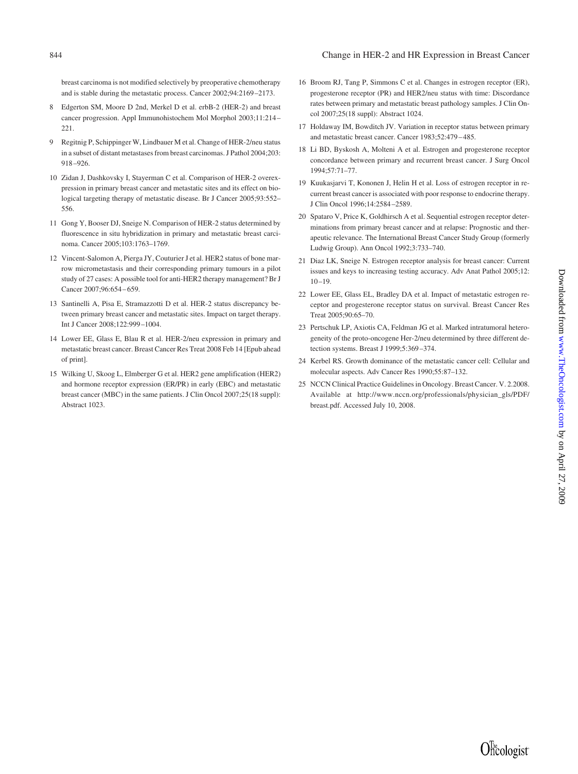breast carcinoma is not modified selectively by preoperative chemotherapy and is stable during the metastatic process. Cancer 2002;94:2169 –2173.

- 8 Edgerton SM, Moore D 2nd, Merkel D et al. erbB-2 (HER-2) and breast cancer progression. Appl Immunohistochem Mol Morphol 2003;11:214 – 221.
- 9 Regitnig P, Schippinger W, Lindbauer M et al. Change of HER-2/neu status in a subset of distant metastases from breast carcinomas. J Pathol 2004;203: 918 –926.
- 10 Zidan J, Dashkovsky I, Stayerman C et al. Comparison of HER-2 overexpression in primary breast cancer and metastatic sites and its effect on biological targeting therapy of metastatic disease. Br J Cancer 2005;93:552– 556.
- 11 Gong Y, Booser DJ, Sneige N. Comparison of HER-2 status determined by fluorescence in situ hybridization in primary and metastatic breast carcinoma. Cancer 2005;103:1763–1769.
- 12 Vincent-Salomon A, Pierga JY, Couturier J et al. HER2 status of bone marrow micrometastasis and their corresponding primary tumours in a pilot study of 27 cases: A possible tool for anti-HER2 therapy management? Br J Cancer 2007;96:654 – 659.
- 13 Santinelli A, Pisa E, Stramazzotti D et al. HER-2 status discrepancy between primary breast cancer and metastatic sites. Impact on target therapy. Int J Cancer 2008;122:999 –1004.
- 14 Lower EE, Glass E, Blau R et al. HER-2/neu expression in primary and metastatic breast cancer. Breast Cancer Res Treat 2008 Feb 14 [Epub ahead of print].
- 15 Wilking U, Skoog L, Elmberger G et al. HER2 gene amplification (HER2) and hormone receptor expression (ER/PR) in early (EBC) and metastatic breast cancer (MBC) in the same patients. J Clin Oncol 2007;25(18 suppl): Abstract 1023.
- 16 Broom RJ, Tang P, Simmons C et al. Changes in estrogen receptor (ER), progesterone receptor (PR) and HER2/neu status with time: Discordance rates between primary and metastatic breast pathology samples. J Clin Oncol 2007;25(18 suppl): Abstract 1024.
- 17 Holdaway IM, Bowditch JV. Variation in receptor status between primary and metastatic breast cancer. Cancer 1983;52:479 – 485.
- 18 Li BD, Byskosh A, Molteni A et al. Estrogen and progesterone receptor concordance between primary and recurrent breast cancer. J Surg Oncol 1994;57:71–77.
- 19 Kuukasjarvi T, Kononen J, Helin H et al. Loss of estrogen receptor in recurrent breast cancer is associated with poor response to endocrine therapy. J Clin Oncol 1996;14:2584 –2589.
- 20 Spataro V, Price K, Goldhirsch A et al. Sequential estrogen receptor determinations from primary breast cancer and at relapse: Prognostic and therapeutic relevance. The International Breast Cancer Study Group (formerly Ludwig Group). Ann Oncol 1992;3:733–740.
- 21 Diaz LK, Sneige N. Estrogen receptor analysis for breast cancer: Current issues and keys to increasing testing accuracy. Adv Anat Pathol 2005;12:  $10 - 19$
- 22 Lower EE, Glass EL, Bradley DA et al. Impact of metastatic estrogen receptor and progesterone receptor status on survival. Breast Cancer Res Treat 2005;90:65–70.
- 23 Pertschuk LP, Axiotis CA, Feldman JG et al. Marked intratumoral heterogeneity of the proto-oncogene Her-2/neu determined by three different detection systems. Breast J 1999;5:369 –374.
- 24 Kerbel RS. Growth dominance of the metastatic cancer cell: Cellular and molecular aspects. Adv Cancer Res 1990;55:87–132.
- 25 NCCN Clinical Practice Guidelines in Oncology. Breast Cancer. V. 2.2008. Available at http://www.nccn.org/professionals/physician\_gls/PDF/ breast.pdf. Accessed July 10, 2008.